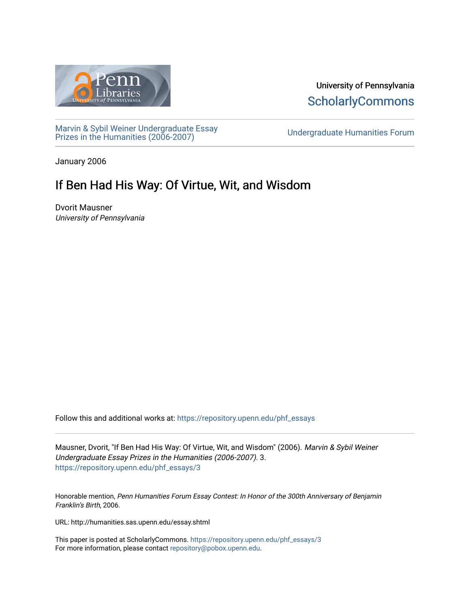

University of Pennsylvania **ScholarlyCommons** 

[Marvin & Sybil Weiner Undergraduate Essay](https://repository.upenn.edu/phf_essays)  [Prizes in the Humanities \(2006-2007\)](https://repository.upenn.edu/phf_essays) [Undergraduate Humanities Forum](https://repository.upenn.edu/undergrad_hum_forum) 

January 2006

## If Ben Had His Way: Of Virtue, Wit, and Wisdom

Dvorit Mausner University of Pennsylvania

Follow this and additional works at: [https://repository.upenn.edu/phf\\_essays](https://repository.upenn.edu/phf_essays?utm_source=repository.upenn.edu%2Fphf_essays%2F3&utm_medium=PDF&utm_campaign=PDFCoverPages) 

Mausner, Dvorit, "If Ben Had His Way: Of Virtue, Wit, and Wisdom" (2006). Marvin & Sybil Weiner Undergraduate Essay Prizes in the Humanities (2006-2007). 3. [https://repository.upenn.edu/phf\\_essays/3](https://repository.upenn.edu/phf_essays/3?utm_source=repository.upenn.edu%2Fphf_essays%2F3&utm_medium=PDF&utm_campaign=PDFCoverPages)

Honorable mention, Penn Humanities Forum Essay Contest: In Honor of the 300th Anniversary of Benjamin Franklin's Birth, 2006.

URL: http://humanities.sas.upenn.edu/essay.shtml

This paper is posted at ScholarlyCommons. [https://repository.upenn.edu/phf\\_essays/3](https://repository.upenn.edu/phf_essays/3)  For more information, please contact [repository@pobox.upenn.edu.](mailto:repository@pobox.upenn.edu)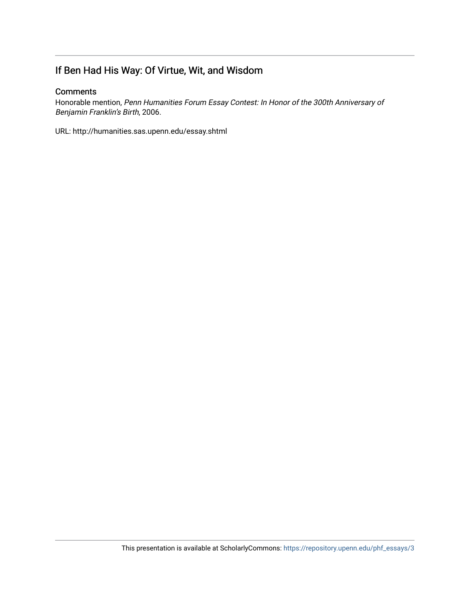## If Ben Had His Way: Of Virtue, Wit, and Wisdom

## **Comments**

Honorable mention, Penn Humanities Forum Essay Contest: In Honor of the 300th Anniversary of Benjamin Franklin's Birth, 2006.

URL: http://humanities.sas.upenn.edu/essay.shtml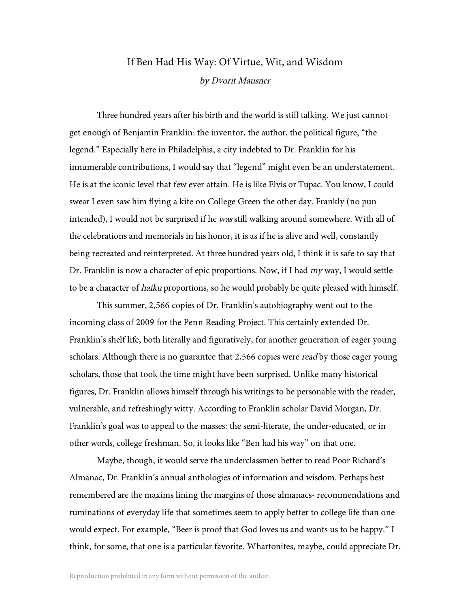## If Ben Had His Way: Of Virtue, Wit, and Wisdom by Dvorit Mausner

Three hundred years after his birth and the world is still talking. We just cannot get enough of Benjamin Franklin: the inventor, the author, the political figure, "the legend." Especially here in Philadelphia, a city indebted to Dr. Franklin for his innumerable contributions, I would say that "legend" might even be an understatement. He is at the iconic level that few ever attain. He is like Elvis or Tupac. You know, I could swear I even saw him flying a kite on College Green the other day. Frankly (no pun intended), I would not be surprised if he *was* still walking around somewhere. With all of the celebrations and memorials in his honor, it is as if he is alive and well, constantly being recreated and reinterpreted. At three hundred years old, I think it is safe to say that Dr. Franklin is now a character of epic proportions. Now, if I had my way, I would settle to be a character of haiku proportions, so he would probably be quite pleased with himself.

This summer, 2,566 copies of Dr. Franklin's autobiography went out to the incoming class of 2009 for the Penn Reading Project. This certainly extended Dr. Franklin's shelf life, both literally and figuratively, for another generation of eager young scholars. Although there is no guarantee that 2,566 copies were *read* by those eager young scholars, those that took the time might have been surprised. Unlike many historical figures, Dr. Franklin allows himself through his writings to be personable with the reader, vulnerable, and refreshingly witty. According to Franklin scholar David Morgan, Dr. Franklin's goal was to appeal to the masses: the semi-literate, the under-educated, or in other words, college freshman. So, it looks like "Ben had his way" on that one.

Maybe, though, it would serve the underclassmen better to read Poor Richard's Almanac, Dr. Franklin's annual anthologies of information and wisdom. Perhaps best remembered are the maxims lining the margins of those almanacs- recommendations and ruminations of everyday life that sometimes seem to apply better to college life than one would expect. For example, "Beer is proof that God loves us and wants us to be happy." I think, for some, that one is a particular favorite. Whartonites, maybe, could appreciate Dr.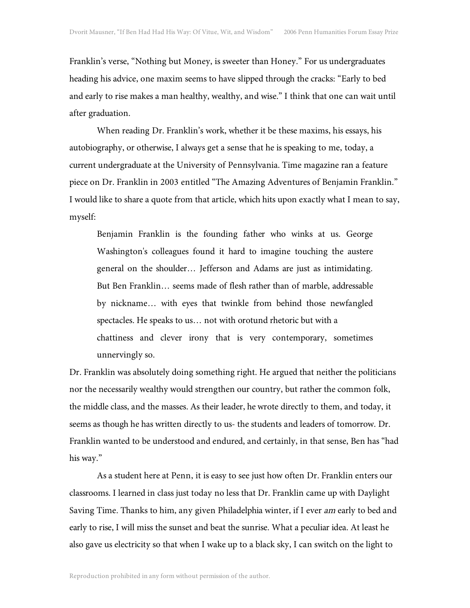Franklin's verse, "Nothing but Money, is sweeter than Honey." For us undergraduates heading his advice, one maxim seems to have slipped through the cracks: "Early to bed and early to rise makes a man healthy, wealthy, and wise." I think that one can wait until after graduation.

When reading Dr. Franklin's work, whether it be these maxims, his essays, his autobiography, or otherwise, I always get a sense that he is speaking to me, today, a current undergraduate at the University of Pennsylvania. Time magazine ran a feature piece on Dr. Franklin in 2003 entitled "The Amazing Adventures of Benjamin Franklin." I would like to share a quote from that article, which hits upon exactly what I mean to say, myself:

Benjamin Franklin is the founding father who winks at us. George Washington's colleagues found it hard to imagine touching the austere general on the shoulder… Jefferson and Adams are just as intimidating. But Ben Franklin… seems made of flesh rather than of marble, addressable by nickname… with eyes that twinkle from behind those newfangled spectacles. He speaks to us… not with orotund rhetoric but with a chattiness and clever irony that is very contemporary, sometimes unnervingly so.

Dr. Franklin was absolutely doing something right. He argued that neither the politicians nor the necessarily wealthy would strengthen our country, but rather the common folk, the middle class, and the masses. As their leader, he wrote directly to them, and today, it seems as though he has written directly to us- the students and leaders of tomorrow. Dr. Franklin wanted to be understood and endured, and certainly, in that sense, Ben has "had his way."

As a student here at Penn, it is easy to see just how often Dr. Franklin enters our classrooms. I learned in class just today no less that Dr. Franklin came up with Daylight Saving Time. Thanks to him, any given Philadelphia winter, if I ever am early to bed and early to rise, I will miss the sunset and beat the sunrise. What a peculiar idea. At least he also gave us electricity so that when I wake up to a black sky, I can switch on the light to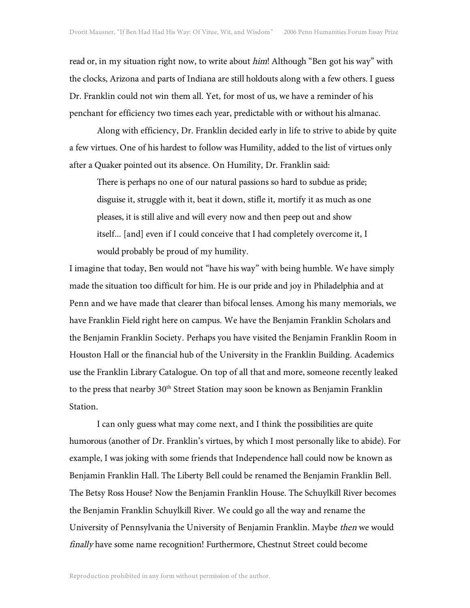read or, in my situation right now, to write about *him*! Although "Ben got his way" with the clocks, Arizona and parts of Indiana are still holdouts along with a few others. I guess Dr. Franklin could not win them all. Yet, for most of us, we have a reminder of his penchant for efficiency two times each year, predictable with or without his almanac.

Along with efficiency, Dr. Franklin decided early in life to strive to abide by quite a few virtues. One of his hardest to follow was Humility, added to the list of virtues only after a Quaker pointed out its absence. On Humility, Dr. Franklin said:

There is perhaps no one of our natural passions so hard to subdue as pride; disguise it, struggle with it, beat it down, stifle it, mortify it as much as one pleases, it is still alive and will every now and then peep out and show itself... [and] even if I could conceive that I had completely overcome it, I would probably be proud of my humility.

I imagine that today, Ben would not "have his way" with being humble. We have simply made the situation too difficult for him. He is our pride and joy in Philadelphia and at Penn and we have made that clearer than bifocal lenses. Among his many memorials, we have Franklin Field right here on campus. We have the Benjamin Franklin Scholars and the Benjamin Franklin Society. Perhaps you have visited the Benjamin Franklin Room in Houston Hall or the financial hub of the University in the Franklin Building. Academics use the Franklin Library Catalogue. On top of all that and more, someone recently leaked to the press that nearby 30<sup>th</sup> Street Station may soon be known as Benjamin Franklin Station.

I can only guess what may come next, and I think the possibilities are quite humorous (another of Dr. Franklin's virtues, by which I most personally like to abide). For example, I was joking with some friends that Independence hall could now be known as Benjamin Franklin Hall. The Liberty Bell could be renamed the Benjamin Franklin Bell. The Betsy Ross House? Now the Benjamin Franklin House. The Schuylkill River becomes the Benjamin Franklin Schuylkill River. We could go all the way and rename the University of Pennsylvania the University of Benjamin Franklin. Maybe then we would finally have some name recognition! Furthermore, Chestnut Street could become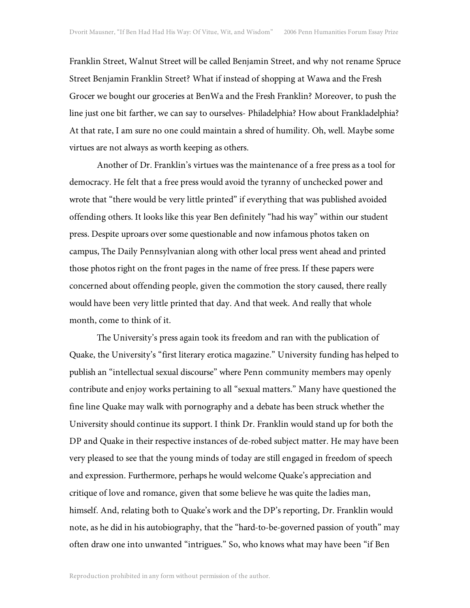Franklin Street, Walnut Street will be called Benjamin Street, and why not rename Spruce Street Benjamin Franklin Street? What if instead of shopping at Wawa and the Fresh Grocer we bought our groceries at BenWa and the Fresh Franklin? Moreover, to push the line just one bit farther, we can say to ourselves- Philadelphia? How about Frankladelphia? At that rate, I am sure no one could maintain a shred of humility. Oh, well. Maybe some virtues are not always as worth keeping as others.

Another of Dr. Franklin's virtues was the maintenance of a free press as a tool for democracy. He felt that a free press would avoid the tyranny of unchecked power and wrote that "there would be very little printed" if everything that was published avoided offending others. It looks like this year Ben definitely "had his way" within our student press. Despite uproars over some questionable and now infamous photos taken on campus, The Daily Pennsylvanian along with other local press went ahead and printed those photos right on the front pages in the name of free press. If these papers were concerned about offending people, given the commotion the story caused, there really would have been very little printed that day. And that week. And really that whole month, come to think of it.

The University's press again took its freedom and ran with the publication of Quake, the University's "first literary erotica magazine." University funding has helped to publish an "intellectual sexual discourse" where Penn community members may openly contribute and enjoy works pertaining to all "sexual matters." Many have questioned the fine line Quake may walk with pornography and a debate has been struck whether the University should continue its support. I think Dr. Franklin would stand up for both the DP and Quake in their respective instances of de-robed subject matter. He may have been very pleased to see that the young minds of today are still engaged in freedom of speech and expression. Furthermore, perhaps he would welcome Quake's appreciation and critique of love and romance, given that some believe he was quite the ladies man, himself. And, relating both to Quake's work and the DP's reporting, Dr. Franklin would note, as he did in his autobiography, that the "hard-to-be-governed passion of youth" may often draw one into unwanted "intrigues." So, who knows what may have been "if Ben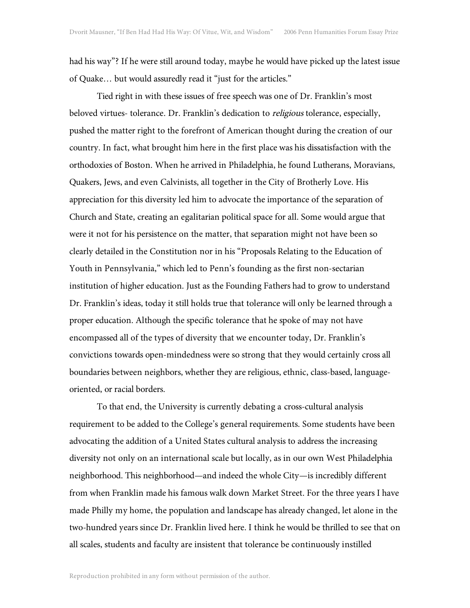had his way"? If he were still around today, maybe he would have picked up the latest issue of Quake… but would assuredly read it "just for the articles."

Tied right in with these issues of free speech was one of Dr. Franklin's most beloved virtues- tolerance. Dr. Franklin's dedication to *religious* tolerance, especially, pushed the matter right to the forefront of American thought during the creation of our country. In fact, what brought him here in the first place was his dissatisfaction with the orthodoxies of Boston. When he arrived in Philadelphia, he found Lutherans, Moravians, Quakers, Jews, and even Calvinists, all together in the City of Brotherly Love. His appreciation for this diversity led him to advocate the importance of the separation of Church and State, creating an egalitarian political space for all. Some would argue that were it not for his persistence on the matter, that separation might not have been so clearly detailed in the Constitution nor in his "Proposals Relating to the Education of Youth in Pennsylvania," which led to Penn's founding as the first non-sectarian institution of higher education. Just as the Founding Fathers had to grow to understand Dr. Franklin's ideas, today it still holds true that tolerance will only be learned through a proper education. Although the specific tolerance that he spoke of may not have encompassed all of the types of diversity that we encounter today, Dr. Franklin's convictions towards open-mindedness were so strong that they would certainly cross all boundaries between neighbors, whether they are religious, ethnic, class-based, languageoriented, or racial borders.

To that end, the University is currently debating a cross-cultural analysis requirement to be added to the College's general requirements. Some students have been advocating the addition of a United States cultural analysis to address the increasing diversity not only on an international scale but locally, as in our own West Philadelphia neighborhood. This neighborhood—and indeed the whole City—is incredibly different from when Franklin made his famous walk down Market Street. For the three years I have made Philly my home, the population and landscape has already changed, let alone in the two-hundred years since Dr. Franklin lived here. I think he would be thrilled to see that on all scales, students and faculty are insistent that tolerance be continuously instilled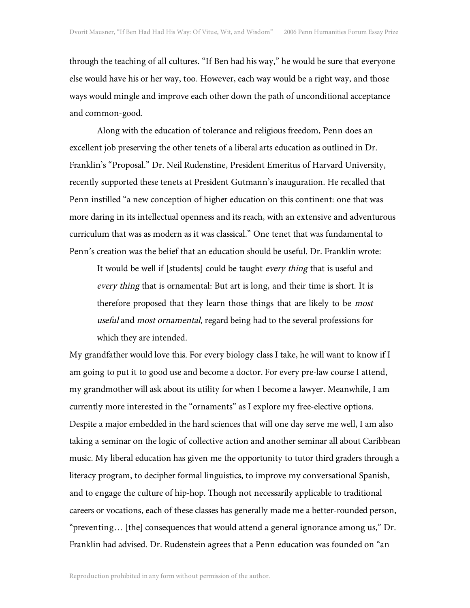through the teaching of all cultures. "If Ben had his way," he would be sure that everyone else would have his or her way, too. However, each way would be a right way, and those ways would mingle and improve each other down the path of unconditional acceptance and common-good.

Along with the education of tolerance and religious freedom, Penn does an excellent job preserving the other tenets of a liberal arts education as outlined in Dr. Franklin's "Proposal." Dr. Neil Rudenstine, President Emeritus of Harvard University, recently supported these tenets at President Gutmann's inauguration. He recalled that Penn instilled "a new conception of higher education on this continent: one that was more daring in its intellectual openness and its reach, with an extensive and adventurous curriculum that was as modern as it was classical." One tenet that was fundamental to Penn's creation was the belief that an education should be useful. Dr. Franklin wrote:

It would be well if [students] could be taught every thing that is useful and every thing that is ornamental: But art is long, and their time is short. It is therefore proposed that they learn those things that are likely to be most useful and most ornamental, regard being had to the several professions for which they are intended.

My grandfather would love this. For every biology class I take, he will want to know if I am going to put it to good use and become a doctor. For every pre-law course I attend, my grandmother will ask about its utility for when I become a lawyer. Meanwhile, I am currently more interested in the "ornaments" as I explore my free-elective options. Despite a major embedded in the hard sciences that will one day serve me well, I am also taking a seminar on the logic of collective action and another seminar all about Caribbean music. My liberal education has given me the opportunity to tutor third graders through a literacy program, to decipher formal linguistics, to improve my conversational Spanish, and to engage the culture of hip-hop. Though not necessarily applicable to traditional careers or vocations, each of these classes has generally made me a better-rounded person, "preventing… [the] consequences that would attend a general ignorance among us," Dr. Franklin had advised. Dr. Rudenstein agrees that a Penn education was founded on "an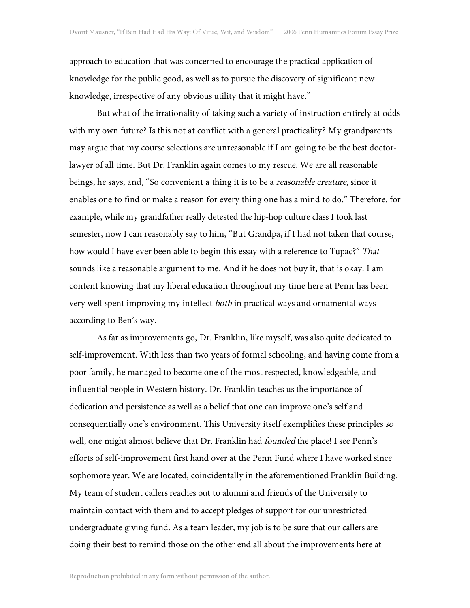approach to education that was concerned to encourage the practical application of knowledge for the public good, as well as to pursue the discovery of significant new knowledge, irrespective of any obvious utility that it might have."

But what of the irrationality of taking such a variety of instruction entirely at odds with my own future? Is this not at conflict with a general practicality? My grandparents may argue that my course selections are unreasonable if I am going to be the best doctorlawyer of all time. But Dr. Franklin again comes to my rescue. We are all reasonable beings, he says, and, "So convenient a thing it is to be a *reasonable creature*, since it enables one to find or make a reason for every thing one has a mind to do." Therefore, for example, while my grandfather really detested the hip-hop culture class I took last semester, now I can reasonably say to him, "But Grandpa, if I had not taken that course, how would I have ever been able to begin this essay with a reference to Tupac?" That sounds like a reasonable argument to me. And if he does not buy it, that is okay. I am content knowing that my liberal education throughout my time here at Penn has been very well spent improving my intellect both in practical ways and ornamental waysaccording to Ben's way.

As far as improvements go, Dr. Franklin, like myself, was also quite dedicated to self-improvement. With less than two years of formal schooling, and having come from a poor family, he managed to become one of the most respected, knowledgeable, and influential people in Western history. Dr. Franklin teaches us the importance of dedication and persistence as well as a belief that one can improve one's self and consequentially one's environment. This University itself exemplifies these principles so well, one might almost believe that Dr. Franklin had founded the place! I see Penn's efforts of self-improvement first hand over at the Penn Fund where I have worked since sophomore year. We are located, coincidentally in the aforementioned Franklin Building. My team of student callers reaches out to alumni and friends of the University to maintain contact with them and to accept pledges of support for our unrestricted undergraduate giving fund. As a team leader, my job is to be sure that our callers are doing their best to remind those on the other end all about the improvements here at